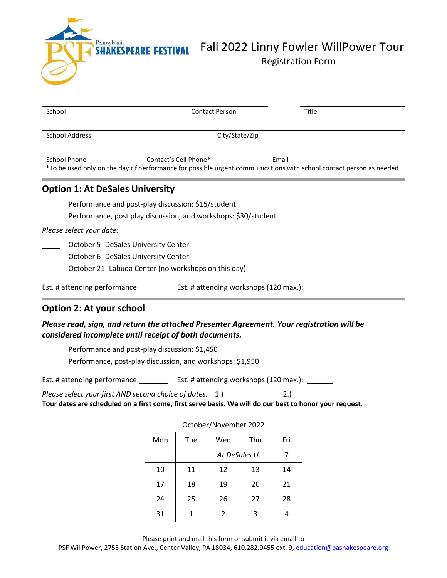

# **SHAKESPEARE FESTIVAL** Fall 2022 Linny Fowler WillPower Tour Registration Form

| School                                                                                                                                                                         | <b>Contact Person</b>                                                                                                | Title |  |  |  |
|--------------------------------------------------------------------------------------------------------------------------------------------------------------------------------|----------------------------------------------------------------------------------------------------------------------|-------|--|--|--|
| <b>School Address</b><br>City/State/Zip                                                                                                                                        |                                                                                                                      |       |  |  |  |
| <b>School Phone</b><br>Contact's Cell Phone*<br>Email<br>*To be used only on the day c f performance for possible urgent communic; tions with school contact person as needed. |                                                                                                                      |       |  |  |  |
| <b>Option 1: At DeSales University</b>                                                                                                                                         |                                                                                                                      |       |  |  |  |
|                                                                                                                                                                                | Performance and post-play discussion: \$15/student<br>Performance, post play discussion, and workshops: \$30/student |       |  |  |  |
| Please select your date:                                                                                                                                                       |                                                                                                                      |       |  |  |  |
| October 5- DeSales University Center<br>October 6- DeSales University Center<br>October 21- Labuda Center (no workshops on this day)                                           |                                                                                                                      |       |  |  |  |
| Est. # attending performance:                                                                                                                                                  | Est. # attending workshops (120 max.):                                                                               |       |  |  |  |

### **Option 2: At your school**

### *Please read, sign, and return the attached Presenter Agreement. Your registration will be considered incomplete until receipt of both documents.*

Performance and post-play discussion: \$1,450

Performance, post-play discussion, and workshops: \$1,950

Est. # attending performance: Est. # attending workshops (120 max.): \_\_\_\_\_\_\_

*Please select your first AND second choice of dates:* 1.) 2.) Tour dates are scheduled on a first come, first serve basis. We will do our best to honor your request.

| October/November 2022 |     |               |     |     |  |
|-----------------------|-----|---------------|-----|-----|--|
| Mon                   | Tue | Wed           | Thu | Fri |  |
|                       |     | At DeSales U. |     |     |  |
| 10                    | 11  | 12            | 13  | 14  |  |
| 17                    | 18  | 19            | 20  | 21  |  |
| 24                    | 25  | 26            | 27  | 28  |  |
| 31                    | 1   | 2             | 3   |     |  |

Please print and mail this form or submit it via email to

PSF WillPower, 2755 Station Ave., Center Valley, PA 18034, 610.282.9455 ext. 9, [education@pashakespeare.org](mailto:education@pashakespeare.org)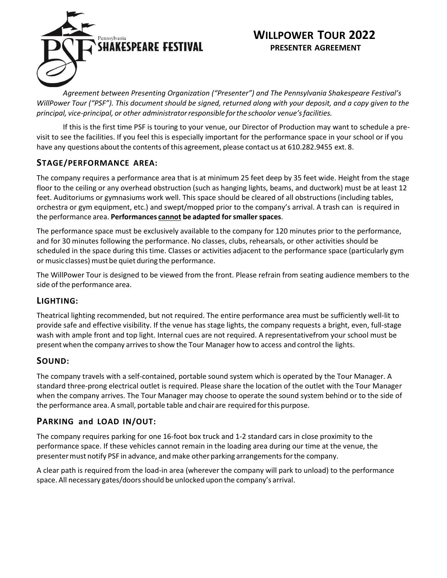

## **WILLPOWER TOUR 2022 PRESENTER AGREEMENT**

*Agreement between Presenting Organization ("Presenter") and The Pennsylvania Shakespeare Festival's WillPower Tour ("PSF"). This document should be signed, returned along with your deposit, and a copy given to the principal, vice-principal, or other administratorresponsible forthe schoolor venue'sfacilities.*

If this is the first time PSF is touring to your venue, our Director of Production may want to schedule a previsit to see the facilities. If you feel this is especially important for the performance space in your school or if you have any questions about the contents of this agreement, please contact us at 610.282.9455 ext. 8.

### **STAGE/PERFORMANCE AREA:**

The company requires a performance area that is at minimum 25 feet deep by 35 feet wide. Height from the stage floor to the ceiling or any overhead obstruction (such as hanging lights, beams, and ductwork) must be at least 12 feet. Auditoriums or gymnasiums work well. This space should be cleared of all obstructions (including tables, orchestra or gym equipment, etc.) and swept/mopped prior to the company's arrival. A trash can is required in the performance area. **Performances cannot be adapted forsmallerspaces**.

The performance space must be exclusively available to the company for 120 minutes prior to the performance, and for 30 minutes following the performance. No classes, clubs, rehearsals, or other activities should be scheduled in the space during this time. Classes or activities adjacent to the performance space (particularly gym or music classes) must be quiet during the performance.

The WillPower Tour is designed to be viewed from the front. Please refrain from seating audience members to the side of the performance area.

### **LIGHTING:**

Theatrical lighting recommended, but not required. The entire performance area must be sufficiently well-lit to provide safe and effective visibility. If the venue has stage lights, the company requests a bright, even, full-stage wash with ample front and top light. Internal cues are not required. A representativefrom your school must be present when the company arrives to show the Tour Manager how to access and control the lights.

### **SOUND:**

The company travels with a self-contained, portable sound system which is operated by the Tour Manager. A standard three-prong electrical outlet is required. Please share the location of the outlet with the Tour Manager when the company arrives. The Tour Manager may choose to operate the sound system behind or to the side of the performance area. A small, portable table and chair are required forthis purpose.

### **PARKING and LOAD IN/OUT:**

The company requires parking for one 16-foot box truck and 1-2 standard cars in close proximity to the performance space. If these vehicles cannot remain in the loading area during our time at the venue, the presenter must notify PSF in advance, and make other parking arrangements for the company.

A clear path is required from the load-in area (wherever the company will park to unload) to the performance space. All necessary gates/doorsshould be unlocked upon the company's arrival.